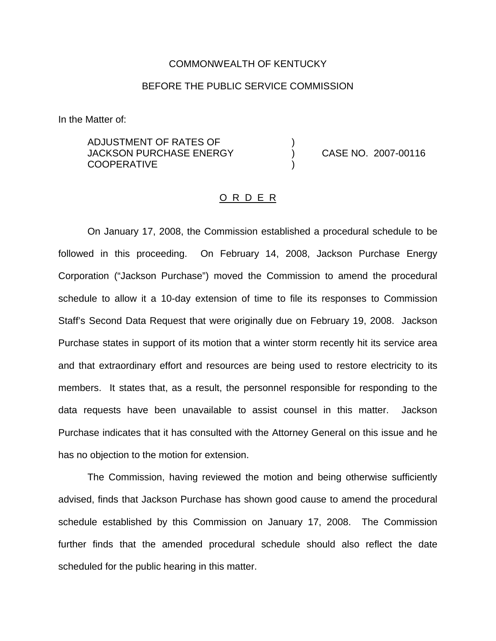#### COMMONWEALTH OF KENTUCKY

### BEFORE THE PUBLIC SERVICE COMMISSION

In the Matter of:

ADJUSTMENT OF RATES OF ) JACKSON PURCHASE ENERGY ) CASE NO. 2007-00116 **COOPERATIVE** 

#### O R D E R

On January 17, 2008, the Commission established a procedural schedule to be followed in this proceeding. On February 14, 2008, Jackson Purchase Energy Corporation ("Jackson Purchase") moved the Commission to amend the procedural schedule to allow it a 10-day extension of time to file its responses to Commission Staff's Second Data Request that were originally due on February 19, 2008. Jackson Purchase states in support of its motion that a winter storm recently hit its service area and that extraordinary effort and resources are being used to restore electricity to its members. It states that, as a result, the personnel responsible for responding to the data requests have been unavailable to assist counsel in this matter. Jackson Purchase indicates that it has consulted with the Attorney General on this issue and he has no objection to the motion for extension.

The Commission, having reviewed the motion and being otherwise sufficiently advised, finds that Jackson Purchase has shown good cause to amend the procedural schedule established by this Commission on January 17, 2008. The Commission further finds that the amended procedural schedule should also reflect the date scheduled for the public hearing in this matter.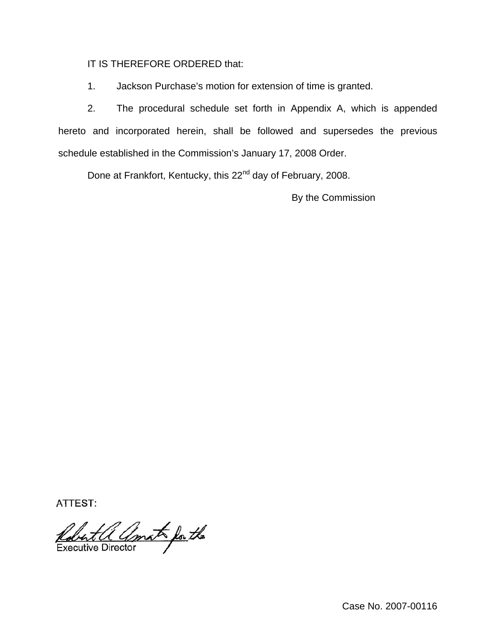## IT IS THEREFORE ORDERED that:

1. Jackson Purchase's motion for extension of time is granted.

2. The procedural schedule set forth in Appendix A, which is appended hereto and incorporated herein, shall be followed and supersedes the previous schedule established in the Commission's January 17, 2008 Order.

Done at Frankfort, Kentucky, this 22<sup>nd</sup> day of February, 2008.

By the Commission

ATTEST:

Robert a amat for the